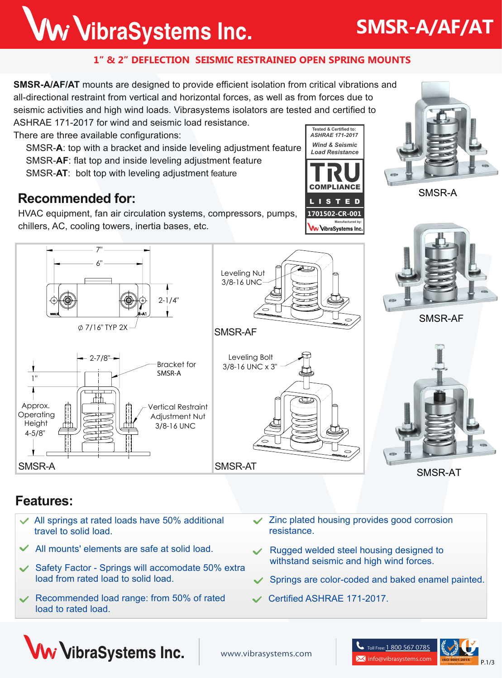## Ww VibraSystems Inc.

#### **1" & 2" DEFLECTION SEISMIC RESTRAINED OPEN SPRING MOUNTS**

**SMSR-A/AF/AT** mounts are designed to provide efficient isolation from critical vibrations and all-directional restraint from vertical and horizontal forces, as well as from forces due to seismic activities and high wind loads. Vibrasystems isolators are tested and certified to

SMSR-AF

Leveling Nut 3/8-16 UNC

Leveling Bolt 3/8-16 UNC x 3"

ASHRAE 171-2017 for wind and seismic load resistance.

There are three available configurations:

 7"  $6"$ 

7/16" TYP 2X

 $-2 - 7/8"$ 

 SMSR-**A**: top with a bracket and inside leveling adjustment feature SMSR-**AF**: flat top and inside leveling adjustment feature SMSR-**AT**: bolt top with leveling adjustment feature

#### **Recommended for:**

HVAC equipment, fan air circulation systems, compressors, pumps, chillers, AC, cooling towers, inertia bases, etc.

2-1/4"

Bracket for **SMSR-A**

Vertical Restraint Adjustment Nut 3/8-16 UNC



SMSR-A



SMSR-AF



SMSR-AT

#### **Features:**

Approx. **Operating Height** 4-5/8"

1"

- All springs at rated loads have 50% additional  $\checkmark$ travel to solid load.
- All mounts' elements are safe at solid load.
- Safety Factor Springs will accomodate 50% extra load from rated load to solid load.

SMSR-A SMSR-AT

- Recommended load range: from 50% of rated load to rated load.
- Zinc plated housing provides good corrosion resistance.

**COMPLIANCE** L I S T E D **1701502-CR-001**

W VibraSystems Inc.

**Manufactured by:**

*Wind & Seismic Load Resistance*

**Tested & Certified to:** *ASHRAE 171-2017*

- Rugged welded steel housing designed to withstand seismic and high wind forces.
- Springs are color-coded and baked enamel painted.
- Certified ASHRAE 171-2017.

তৈ









## **SMSR-A/AF/AT**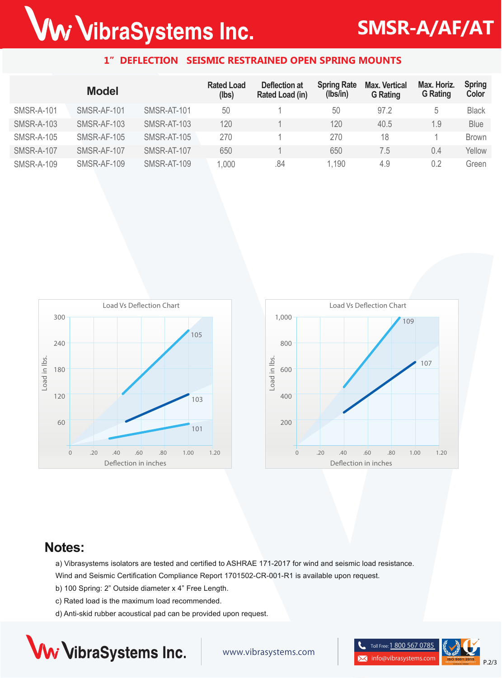# Ww VibraSystems Inc.

## **SMSR-A/AF/AT**

#### **1" DEFLECTION SEISMIC RESTRAINED OPEN SPRING MOUNTS**

|                   | <b>Model</b> |             | <b>Rated Load</b><br>(lbs) | Deflection at<br>Rated Load (in) | <b>Spring Rate</b><br>(lbs/in) | <b>Max. Vertical</b><br><b>G</b> Rating | Max. Horiz.<br><b>G</b> Rating | <b>Spring</b><br>Color |
|-------------------|--------------|-------------|----------------------------|----------------------------------|--------------------------------|-----------------------------------------|--------------------------------|------------------------|
| <b>SMSR-A-101</b> | SMSR-AF-101  | SMSR-AT-101 | 50                         |                                  | 50                             | 97.2                                    | 5                              | <b>Black</b>           |
| <b>SMSR-A-103</b> | SMSR-AF-103  | SMSR-AT-103 | 120                        |                                  | 120                            | 40.5                                    | 1.9                            | <b>Blue</b>            |
| <b>SMSR-A-105</b> | SMSR-AF-105  | SMSR-AT-105 | 270                        |                                  | 270                            | 18                                      |                                | <b>Brown</b>           |
| <b>SMSR-A-107</b> | SMSR-AF-107  | SMSR-AT-107 | 650                        |                                  | 650                            | 7.5                                     | 0.4                            | Yellow                 |
| <b>SMSR-A-109</b> | SMSR-AF-109  | SMSR-AT-109 | 1,000                      | .84                              | 1,190                          | 4.9                                     | 0.2                            | Green                  |





#### **Notes:**

a) Vibrasystems isolators are tested and certified to ASHRAE 171-2017 for wind and seismic load resistance. Wind and Seismic Certification Compliance Report 1701502-CR-001-R1 is available upon request.

- b) 100 Spring: 2" Outside diameter x 4" Free Length.
- c) Rated load is the maximum load recommended.
- d) Anti-skid rubber acoustical pad can be provided upon request.



www.vibrasystems.com